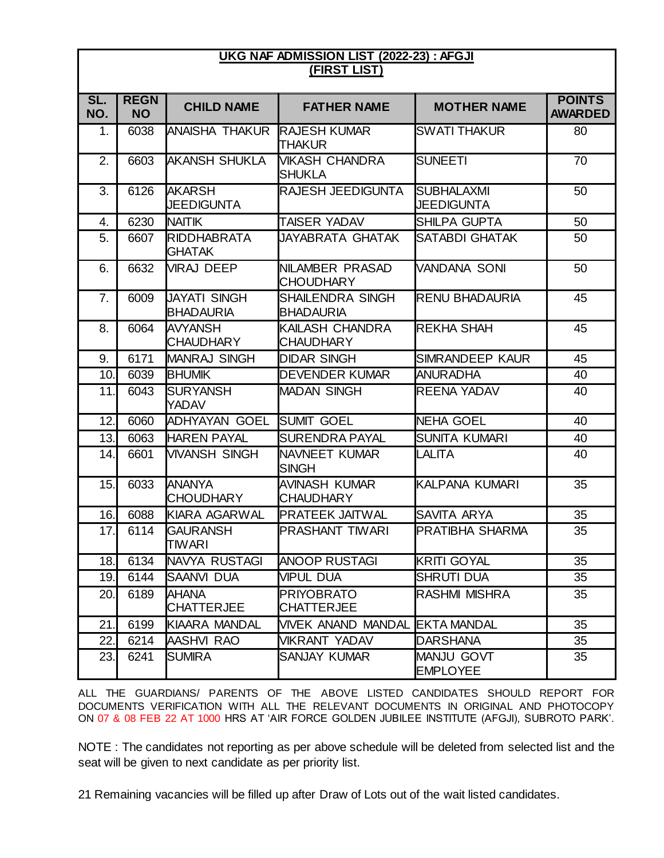## **UKG NAF ADMISSION LIST (2022-23) : AFGJI (FIRST LIST)**

| <b>CHILD NAME</b><br><b>MOTHER NAME</b><br><b>FATHER NAME</b><br>NO.<br><b>NO</b><br><b>AWARDED</b><br>6038<br><b>ANAISHA THAKUR</b><br><b>RAJESH KUMAR</b><br><b>SWATI THAKUR</b><br>1.<br>80<br>THAKUR<br>2.<br><b>AKANSH SHUKLA</b><br><b>VIKASH CHANDRA</b><br>70<br>6603<br><b>SUNEETI</b><br><b>SHUKLA</b><br>3.<br>6126<br><b>AKARSH</b><br><b>RAJESH JEEDIGUNTA</b><br><b>SUBHALAXMI</b><br>50<br><b>JEEDIGUNTA</b><br><b>JEEDIGUNTA</b><br>6230<br><b>NAITIK</b><br>TAISER YADAV<br>50<br><b>SHILPA GUPTA</b><br>4.<br>5.<br><b>RIDDHABRATA</b><br>6607<br>JAYABRATA GHATAK<br><b>SATABDI GHATAK</b><br>50<br><b>GHATAK</b><br>6632<br><b>VIRAJ DEEP</b><br>NILAMBER PRASAD<br><b>VANDANA SONI</b><br>50<br>6.<br><b>CHOUDHARY</b><br><b>JAYATI SINGH</b><br><b>SHAILENDRA SINGH</b><br>45<br>7.<br>6009<br><b>RENU BHADAURIA</b><br><b>BHADAURIA</b><br><b>BHADAURIA</b><br>45<br>6064<br><b>AVYANSH</b><br>KAILASH CHANDRA<br><b>REKHA SHAH</b><br>8.<br><b>CHAUDHARY</b><br><b>CHAUDHARY</b><br>6171<br><b>DIDAR SINGH</b><br><b>MANRAJ SINGH</b><br><b>SIMRANDEEP KAUR</b><br>45<br>9.<br>10.<br>6039<br><b>BHUMIK</b><br><b>DEVENDER KUMAR</b><br><b>ANURADHA</b><br>40<br>6043<br><b>SURYANSH</b><br><b>MADAN SINGH</b><br><b>REENA YADAV</b><br>40<br>11.<br>YADAV<br><b>SUMIT GOEL</b><br>12.<br>6060<br>ADHYAYAN GOEL<br><b>NEHA GOEL</b><br>40<br><b>SUNITA KUMARI</b><br>13.<br>6063<br><b>HAREN PAYAL</b><br><b>SURENDRA PAYAL</b><br>40<br>14.<br>6601<br><b>VIVANSH SINGH</b><br>NAVNEET KUMAR<br>LALITA<br>40<br><b>SINGH</b><br><b>ANANYA</b><br>35<br>15.<br>6033<br>AVINASH KUMAR<br><b>KALPANA KUMARI</b><br><b>CHOUDHARY</b><br>CHAUDHARY<br>6088<br>KIARA AGARWAL<br><b>PRATEEK JAITWAL</b><br>35<br>16.<br><b>SAVITA ARYA</b><br><b>GAURANSH</b><br><b>PRASHANT TIWARI</b><br>PRATIBHA SHARMA<br>35<br>17.<br>6114<br><b>TIWARI</b><br>6134<br><b>INAVYA RUSTAGI</b><br><b>KRITI GOYAL</b><br>35<br>18.<br><b>ANOOP RUSTAGI</b><br><b>VIPUL DUA</b><br>19.<br>6144<br><b>ISAANVI DUA</b><br><b>SHRUTI DUA</b><br>35<br><b>AHANA</b><br><b>PRIYOBRATO</b><br>RASHMI MISHRA<br>20.<br>6189<br>35<br><b>CHATTERJEE</b><br>CHATTERJEE<br>6199<br>KIAARA MANDAL<br><b>VIVEK ANAND MANDAL</b><br>21.<br><b>EKTA MANDAL</b><br>35<br>22.<br>AASHVI RAO<br><b>VIKRANT YADAV</b><br><b>DARSHANA</b><br>35<br>6214<br><b>MANJU GOVT</b><br>23.<br><b>SUMIRA</b><br>SANJAY KUMAR<br>35<br>6241<br><b>EMPLOYEE</b> |     |             |  |               |
|---------------------------------------------------------------------------------------------------------------------------------------------------------------------------------------------------------------------------------------------------------------------------------------------------------------------------------------------------------------------------------------------------------------------------------------------------------------------------------------------------------------------------------------------------------------------------------------------------------------------------------------------------------------------------------------------------------------------------------------------------------------------------------------------------------------------------------------------------------------------------------------------------------------------------------------------------------------------------------------------------------------------------------------------------------------------------------------------------------------------------------------------------------------------------------------------------------------------------------------------------------------------------------------------------------------------------------------------------------------------------------------------------------------------------------------------------------------------------------------------------------------------------------------------------------------------------------------------------------------------------------------------------------------------------------------------------------------------------------------------------------------------------------------------------------------------------------------------------------------------------------------------------------------------------------------------------------------------------------------------------------------------------------------------------------------------------------------------------------------------------------------------------------------------------------------------------------------------------------------------------------------------------------------------------------------------------------------------------------------------------------------------------------------------------------------|-----|-------------|--|---------------|
|                                                                                                                                                                                                                                                                                                                                                                                                                                                                                                                                                                                                                                                                                                                                                                                                                                                                                                                                                                                                                                                                                                                                                                                                                                                                                                                                                                                                                                                                                                                                                                                                                                                                                                                                                                                                                                                                                                                                                                                                                                                                                                                                                                                                                                                                                                                                                                                                                                       | SL. | <b>REGN</b> |  | <b>POINTS</b> |
|                                                                                                                                                                                                                                                                                                                                                                                                                                                                                                                                                                                                                                                                                                                                                                                                                                                                                                                                                                                                                                                                                                                                                                                                                                                                                                                                                                                                                                                                                                                                                                                                                                                                                                                                                                                                                                                                                                                                                                                                                                                                                                                                                                                                                                                                                                                                                                                                                                       |     |             |  |               |
|                                                                                                                                                                                                                                                                                                                                                                                                                                                                                                                                                                                                                                                                                                                                                                                                                                                                                                                                                                                                                                                                                                                                                                                                                                                                                                                                                                                                                                                                                                                                                                                                                                                                                                                                                                                                                                                                                                                                                                                                                                                                                                                                                                                                                                                                                                                                                                                                                                       |     |             |  |               |
|                                                                                                                                                                                                                                                                                                                                                                                                                                                                                                                                                                                                                                                                                                                                                                                                                                                                                                                                                                                                                                                                                                                                                                                                                                                                                                                                                                                                                                                                                                                                                                                                                                                                                                                                                                                                                                                                                                                                                                                                                                                                                                                                                                                                                                                                                                                                                                                                                                       |     |             |  |               |
|                                                                                                                                                                                                                                                                                                                                                                                                                                                                                                                                                                                                                                                                                                                                                                                                                                                                                                                                                                                                                                                                                                                                                                                                                                                                                                                                                                                                                                                                                                                                                                                                                                                                                                                                                                                                                                                                                                                                                                                                                                                                                                                                                                                                                                                                                                                                                                                                                                       |     |             |  |               |
|                                                                                                                                                                                                                                                                                                                                                                                                                                                                                                                                                                                                                                                                                                                                                                                                                                                                                                                                                                                                                                                                                                                                                                                                                                                                                                                                                                                                                                                                                                                                                                                                                                                                                                                                                                                                                                                                                                                                                                                                                                                                                                                                                                                                                                                                                                                                                                                                                                       |     |             |  |               |
|                                                                                                                                                                                                                                                                                                                                                                                                                                                                                                                                                                                                                                                                                                                                                                                                                                                                                                                                                                                                                                                                                                                                                                                                                                                                                                                                                                                                                                                                                                                                                                                                                                                                                                                                                                                                                                                                                                                                                                                                                                                                                                                                                                                                                                                                                                                                                                                                                                       |     |             |  |               |
|                                                                                                                                                                                                                                                                                                                                                                                                                                                                                                                                                                                                                                                                                                                                                                                                                                                                                                                                                                                                                                                                                                                                                                                                                                                                                                                                                                                                                                                                                                                                                                                                                                                                                                                                                                                                                                                                                                                                                                                                                                                                                                                                                                                                                                                                                                                                                                                                                                       |     |             |  |               |
|                                                                                                                                                                                                                                                                                                                                                                                                                                                                                                                                                                                                                                                                                                                                                                                                                                                                                                                                                                                                                                                                                                                                                                                                                                                                                                                                                                                                                                                                                                                                                                                                                                                                                                                                                                                                                                                                                                                                                                                                                                                                                                                                                                                                                                                                                                                                                                                                                                       |     |             |  |               |
|                                                                                                                                                                                                                                                                                                                                                                                                                                                                                                                                                                                                                                                                                                                                                                                                                                                                                                                                                                                                                                                                                                                                                                                                                                                                                                                                                                                                                                                                                                                                                                                                                                                                                                                                                                                                                                                                                                                                                                                                                                                                                                                                                                                                                                                                                                                                                                                                                                       |     |             |  |               |
|                                                                                                                                                                                                                                                                                                                                                                                                                                                                                                                                                                                                                                                                                                                                                                                                                                                                                                                                                                                                                                                                                                                                                                                                                                                                                                                                                                                                                                                                                                                                                                                                                                                                                                                                                                                                                                                                                                                                                                                                                                                                                                                                                                                                                                                                                                                                                                                                                                       |     |             |  |               |
|                                                                                                                                                                                                                                                                                                                                                                                                                                                                                                                                                                                                                                                                                                                                                                                                                                                                                                                                                                                                                                                                                                                                                                                                                                                                                                                                                                                                                                                                                                                                                                                                                                                                                                                                                                                                                                                                                                                                                                                                                                                                                                                                                                                                                                                                                                                                                                                                                                       |     |             |  |               |
|                                                                                                                                                                                                                                                                                                                                                                                                                                                                                                                                                                                                                                                                                                                                                                                                                                                                                                                                                                                                                                                                                                                                                                                                                                                                                                                                                                                                                                                                                                                                                                                                                                                                                                                                                                                                                                                                                                                                                                                                                                                                                                                                                                                                                                                                                                                                                                                                                                       |     |             |  |               |
|                                                                                                                                                                                                                                                                                                                                                                                                                                                                                                                                                                                                                                                                                                                                                                                                                                                                                                                                                                                                                                                                                                                                                                                                                                                                                                                                                                                                                                                                                                                                                                                                                                                                                                                                                                                                                                                                                                                                                                                                                                                                                                                                                                                                                                                                                                                                                                                                                                       |     |             |  |               |
|                                                                                                                                                                                                                                                                                                                                                                                                                                                                                                                                                                                                                                                                                                                                                                                                                                                                                                                                                                                                                                                                                                                                                                                                                                                                                                                                                                                                                                                                                                                                                                                                                                                                                                                                                                                                                                                                                                                                                                                                                                                                                                                                                                                                                                                                                                                                                                                                                                       |     |             |  |               |
|                                                                                                                                                                                                                                                                                                                                                                                                                                                                                                                                                                                                                                                                                                                                                                                                                                                                                                                                                                                                                                                                                                                                                                                                                                                                                                                                                                                                                                                                                                                                                                                                                                                                                                                                                                                                                                                                                                                                                                                                                                                                                                                                                                                                                                                                                                                                                                                                                                       |     |             |  |               |
|                                                                                                                                                                                                                                                                                                                                                                                                                                                                                                                                                                                                                                                                                                                                                                                                                                                                                                                                                                                                                                                                                                                                                                                                                                                                                                                                                                                                                                                                                                                                                                                                                                                                                                                                                                                                                                                                                                                                                                                                                                                                                                                                                                                                                                                                                                                                                                                                                                       |     |             |  |               |
|                                                                                                                                                                                                                                                                                                                                                                                                                                                                                                                                                                                                                                                                                                                                                                                                                                                                                                                                                                                                                                                                                                                                                                                                                                                                                                                                                                                                                                                                                                                                                                                                                                                                                                                                                                                                                                                                                                                                                                                                                                                                                                                                                                                                                                                                                                                                                                                                                                       |     |             |  |               |
|                                                                                                                                                                                                                                                                                                                                                                                                                                                                                                                                                                                                                                                                                                                                                                                                                                                                                                                                                                                                                                                                                                                                                                                                                                                                                                                                                                                                                                                                                                                                                                                                                                                                                                                                                                                                                                                                                                                                                                                                                                                                                                                                                                                                                                                                                                                                                                                                                                       |     |             |  |               |
|                                                                                                                                                                                                                                                                                                                                                                                                                                                                                                                                                                                                                                                                                                                                                                                                                                                                                                                                                                                                                                                                                                                                                                                                                                                                                                                                                                                                                                                                                                                                                                                                                                                                                                                                                                                                                                                                                                                                                                                                                                                                                                                                                                                                                                                                                                                                                                                                                                       |     |             |  |               |
|                                                                                                                                                                                                                                                                                                                                                                                                                                                                                                                                                                                                                                                                                                                                                                                                                                                                                                                                                                                                                                                                                                                                                                                                                                                                                                                                                                                                                                                                                                                                                                                                                                                                                                                                                                                                                                                                                                                                                                                                                                                                                                                                                                                                                                                                                                                                                                                                                                       |     |             |  |               |
|                                                                                                                                                                                                                                                                                                                                                                                                                                                                                                                                                                                                                                                                                                                                                                                                                                                                                                                                                                                                                                                                                                                                                                                                                                                                                                                                                                                                                                                                                                                                                                                                                                                                                                                                                                                                                                                                                                                                                                                                                                                                                                                                                                                                                                                                                                                                                                                                                                       |     |             |  |               |
|                                                                                                                                                                                                                                                                                                                                                                                                                                                                                                                                                                                                                                                                                                                                                                                                                                                                                                                                                                                                                                                                                                                                                                                                                                                                                                                                                                                                                                                                                                                                                                                                                                                                                                                                                                                                                                                                                                                                                                                                                                                                                                                                                                                                                                                                                                                                                                                                                                       |     |             |  |               |
|                                                                                                                                                                                                                                                                                                                                                                                                                                                                                                                                                                                                                                                                                                                                                                                                                                                                                                                                                                                                                                                                                                                                                                                                                                                                                                                                                                                                                                                                                                                                                                                                                                                                                                                                                                                                                                                                                                                                                                                                                                                                                                                                                                                                                                                                                                                                                                                                                                       |     |             |  |               |

ALL THE GUARDIANS/ PARENTS OF THE ABOVE LISTED CANDIDATES SHOULD REPORT FOR DOCUMENTS VERIFICATION WITH ALL THE RELEVANT DOCUMENTS IN ORIGINAL AND PHOTOCOPY ON 07 & 08 FEB 22 AT 1000 HRS AT 'AIR FORCE GOLDEN JUBILEE INSTITUTE (AFGJI), SUBROTO PARK'.

NOTE : The candidates not reporting as per above schedule will be deleted from selected list and the seat will be given to next candidate as per priority list.

21 Remaining vacancies will be filled up after Draw of Lots out of the wait listed candidates.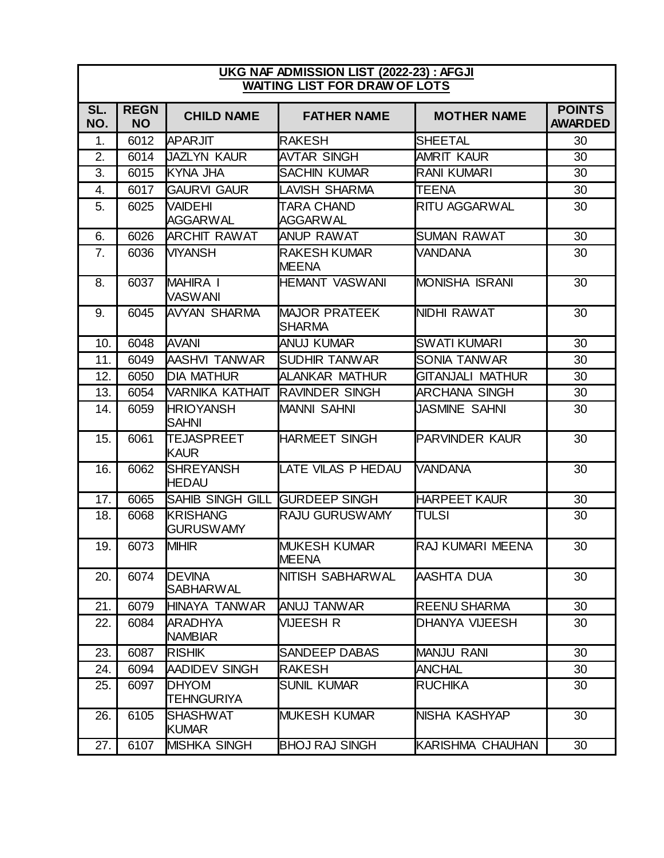## **UKG NAF ADMISSION LIST (2022-23) : AFGJI WAITING LIST FOR DRAW OF LOTS**

| SL.<br>NO. | <b>REGN</b><br><b>NO</b> | <b>CHILD NAME</b>                   | <b>FATHER NAME</b>                    | <b>MOTHER NAME</b>      | <b>POINTS</b><br><b>AWARDED</b> |
|------------|--------------------------|-------------------------------------|---------------------------------------|-------------------------|---------------------------------|
| 1.         | 6012                     | <b>APARJIT</b>                      | <b>RAKESH</b>                         | SHEETAL                 | 30                              |
| 2.         | 6014                     | <b>JAZLYN KAUR</b>                  | <b>AVTAR SINGH</b>                    | <b>AMRIT KAUR</b>       | 30                              |
| 3.         | 6015                     | KYNA JHA                            | <b>SACHIN KUMAR</b>                   | <b>RANI KUMARI</b>      | 30                              |
| 4.         | 6017                     | <b>GAURVI GAUR</b>                  | <b>LAVISH SHARMA</b>                  | <b>TEENA</b>            | 30                              |
| 5.         | 6025                     | <b>VAIDEHI</b><br><b>AGGARWAL</b>   | TARA CHAND<br><b>AGGARWAL</b>         | <b>RITU AGGARWAL</b>    | 30                              |
| 6.         | 6026                     | <b>ARCHIT RAWAT</b>                 | <b>ANUP RAWAT</b>                     | <b>SUMAN RAWAT</b>      | 30                              |
| 7.         | 6036                     | <b>VIYANSH</b>                      | <b>RAKESH KUMAR</b><br><b>MEENA</b>   | <b>VANDANA</b>          | 30                              |
| 8.         | 6037                     | <b>MAHIRA I</b><br><b>VASWANI</b>   | <b>HEMANT VASWANI</b>                 | <b>MONISHA ISRANI</b>   | 30                              |
| 9.         | 6045                     | <b>AVYAN SHARMA</b>                 | <b>MAJOR PRATEEK</b><br><b>SHARMA</b> | NIDHI RAWAT             | 30                              |
| 10.        | 6048                     | <b>AVANI</b>                        | <b>ANUJ KUMAR</b>                     | <b>SWATI KUMARI</b>     | 30                              |
| 11.        | 6049                     | AASHVI TANWAR                       | <b>ISUDHIR TANWAR</b>                 | <b>SONIA TANWAR</b>     | 30                              |
| 12.        | 6050                     | <b>DIA MATHUR</b>                   | <b>ALANKAR MATHUR</b>                 | <b>GITANJALI MATHUR</b> | 30                              |
| 13.        | 6054                     | VARNIKA KATHAIT                     | <b>RAVINDER SINGH</b>                 | <b>ARCHANA SINGH</b>    | 30                              |
| 14.        | 6059                     | <b>HRIOYANSH</b><br><b>SAHNI</b>    | <b>MANNI SAHNI</b>                    | JASMINE SAHNI           | 30                              |
| 15.        | 6061                     | <b>TEJASPREET</b><br><b>KAUR</b>    | <b>HARMEET SINGH</b>                  | <b>PARVINDER KAUR</b>   | 30                              |
| 16.        | 6062                     | <b>SHREYANSH</b><br><b>HEDAU</b>    | <b>LATE VILAS P HEDAU</b>             | <b>VANDANA</b>          | 30                              |
| 17.        | 6065                     | <b>SAHIB SINGH GILL</b>             | <b>GURDEEP SINGH</b>                  | <b>HARPEET KAUR</b>     | $\overline{30}$                 |
| 18.        | 6068                     | <b>KRISHANG</b><br><b>GURUSWAMY</b> | <b>RAJU GURUSWAMY</b>                 | <b>TULSI</b>            | 30                              |
| 19.        | 6073                     | <b>MIHIR</b>                        | <b>MUKESH KUMAR</b><br><b>MEENA</b>   | <b>RAJ KUMARI MEENA</b> | 30                              |
| 20.        | 6074                     | <b>DEVINA</b><br><b>SABHARWAL</b>   | NITISH SABHARWAL                      | AASHTA DUA              | 30                              |
| 21.        | 6079                     | HINAYA TANWAR                       | <b>ANUJ TANWAR</b>                    | <b>REENU SHARMA</b>     | 30                              |
| 22.        | 6084                     | <b>ARADHYA</b><br><b>NAMBIAR</b>    | VIJEESH R                             | DHANYA VIJEESH          | 30                              |
| 23.        | 6087                     | <b>RISHIK</b>                       | <b>SANDEEP DABAS</b>                  | <b>MANJU RANI</b>       | 30                              |
| 24.        | 6094                     | <b>AADIDEV SINGH</b>                | <b>RAKESH</b>                         | <b>ANCHAL</b>           | 30                              |
| 25.        | 6097                     | <b>DHYOM</b><br><b>TEHNGURIYA</b>   | <b>SUNIL KUMAR</b>                    | <b>RUCHIKA</b>          | 30                              |
| 26.        | 6105                     | <b>SHASHWAT</b><br><b>KUMAR</b>     | <b>MUKESH KUMAR</b>                   | NISHA KASHYAP           | 30                              |
| 27.        | 6107                     | <b>MISHKA SINGH</b>                 | <b>BHOJ RAJ SINGH</b>                 | KARISHMA CHAUHAN        | 30                              |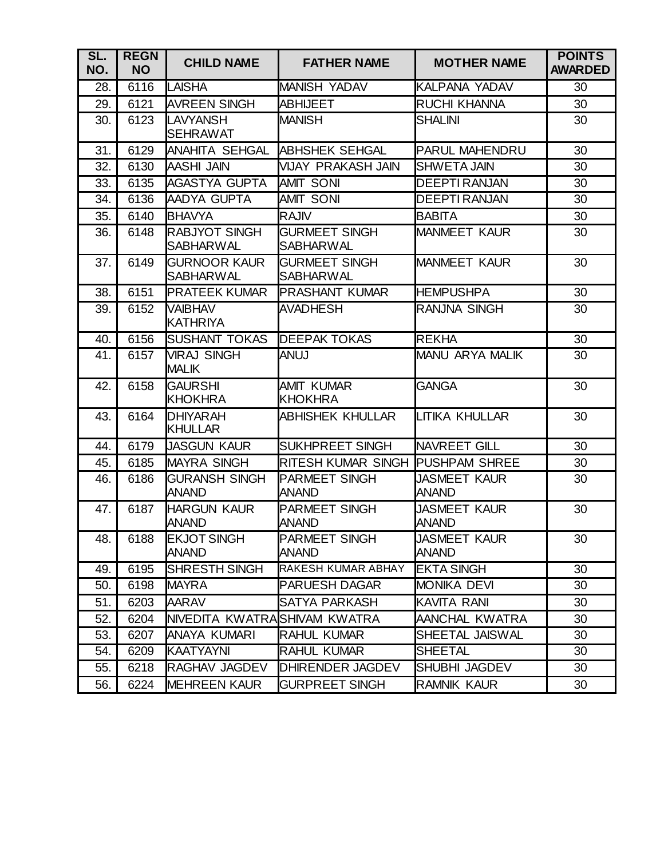| SL.<br>NO. | <b>REGN</b><br><b>NO</b> | <b>CHILD NAME</b>                        | <b>FATHER NAME</b>                       | <b>MOTHER NAME</b>                  | <b>POINTS</b><br><b>AWARDED</b> |
|------------|--------------------------|------------------------------------------|------------------------------------------|-------------------------------------|---------------------------------|
| 28.        | 6116                     | <b>LAISHA</b>                            | <b>MANISH YADAV</b>                      | KALPANA YADAV                       | 30                              |
| 29.        | 6121                     | <b>AVREEN SINGH</b>                      | <b>ABHIJEET</b>                          | <b>RUCHI KHANNA</b>                 | 30                              |
| 30.        | 6123                     | <b>LAVYANSH</b><br><b>ISEHRAWAT</b>      | <b>MANISH</b>                            | <b>SHALINI</b>                      | 30                              |
| 31.        | 6129                     | <b>ANAHITA SEHGAL</b>                    | <b>ABHSHEK SEHGAL</b>                    | <b>PARUL MAHENDRU</b>               | 30                              |
| 32.        | 6130                     | <b>AASHI JAIN</b>                        | VIJAY PRAKASH JAIN                       | <b>SHWETA JAIN</b>                  | 30                              |
| 33.        | 6135                     | AGASTYA GUPTA                            | <b>AMIT SONI</b>                         | <b>DEEPTI RANJAN</b>                | 30                              |
| 34.        | 6136                     | AADYA GUPTA                              | <b>AMIT SONI</b>                         | <b>DEEPTI RANJAN</b>                | 30                              |
| 35.        | 6140                     | <b>BHAVYA</b>                            | <b>RAJIV</b>                             | <b>BABITA</b>                       | 30                              |
| 36.        | 6148                     | <b>RABJYOT SINGH</b><br><b>SABHARWAL</b> | <b>GURMEET SINGH</b><br><b>SABHARWAL</b> | <b>MANMEET KAUR</b>                 | 30                              |
| 37.        | 6149                     | <b>GURNOOR KAUR</b><br><b>SABHARWAL</b>  | <b>GURMEET SINGH</b><br><b>SABHARWAL</b> | <b>MANMEET KAUR</b>                 | 30                              |
| 38.        | 6151                     | <b>PRATEEK KUMAR</b>                     | <b>IPRASHANT KUMAR</b>                   | <b>HEMPUSHPA</b>                    | 30                              |
| 39.        | 6152                     | <b>VAIBHAV</b><br><b>KATHRIYA</b>        | <b>AVADHESH</b>                          | <b>RANJNA SINGH</b>                 | 30                              |
| 40.        | 6156                     | <b>ISUSHANT TOKAS</b>                    | <b>DEEPAK TOKAS</b>                      | <b>REKHA</b>                        | 30                              |
| 41.        | 6157                     | <b>VIRAJ SINGH</b><br><b>MALIK</b>       | <b>ANUJ</b>                              | <b>MANU ARYA MALIK</b>              | 30                              |
| 42.        | 6158                     | <b>GAURSHI</b><br><b>KHOKHRA</b>         | <b>AMIT KUMAR</b><br><b>KHOKHRA</b>      | <b>GANGA</b>                        | 30                              |
| 43.        | 6164                     | <b>DHIYARAH</b><br><b>KHULLAR</b>        | <b>ABHISHEK KHULLAR</b>                  | <b>LITIKA KHULLAR</b>               | 30                              |
| 44.        | 6179                     | <b>JASGUN KAUR</b>                       | <b>SUKHPREET SINGH</b>                   | <b>NAVREET GILL</b>                 | 30                              |
| 45.        | 6185                     | <b>MAYRA SINGH</b>                       | RITESH KUMAR SINGH PUSHPAM SHREE         |                                     | 30                              |
| 46.        | 6186                     | <b>GURANSH SINGH</b><br><b>ANAND</b>     | <b>PARMEET SINGH</b><br><b>ANAND</b>     | <b>JASMEET KAUR</b><br><b>ANAND</b> | 30                              |
| 47.        | 6187                     | <b>HARGUN KAUR</b><br><b>ANAND</b>       | <b>PARMEET SINGH</b><br><b>ANAND</b>     | <b>JASMEET KAUR</b><br><b>ANAND</b> | 30                              |
| 48.        | 6188                     | <b>EKJOT SINGH</b><br><b>ANAND</b>       | <b>PARMEET SINGH</b><br><b>ANAND</b>     | <b>JASMEET KAUR</b><br><b>ANAND</b> | 30                              |
| 49.        | 6195                     | <b>SHRESTH SINGH</b>                     | RAKESH KUMAR ABHAY                       | <b>EKTA SINGH</b>                   | 30                              |
| 50.        | 6198                     | <b>MAYRA</b>                             | <b>PARUESH DAGAR</b>                     | <b>MONIKA DEVI</b>                  | 30                              |
| 51.        | 6203                     | <b>AARAV</b>                             | SATYA PARKASH                            | <b>KAVITA RANI</b>                  | 30                              |
| 52.        | 6204                     | NIVEDITA KWATRAISHIVAM KWATRA            |                                          | AANCHAL KWATRA                      | 30                              |
| 53.        | 6207                     | ANAYA KUMARI                             | <b>RAHUL KUMAR</b>                       | <b>SHEETAL JAISWAL</b>              | 30                              |
| 54.        | 6209                     | <b>KAATYAYNI</b>                         | <b>RAHUL KUMAR</b>                       | <b>SHEETAL</b>                      | 30                              |
| 55.        | 6218                     | <b>RAGHAV JAGDEV</b>                     | <b>DHIRENDER JAGDEV</b>                  | SHUBHI JAGDEV                       | 30                              |
| 56.        | 6224                     | <b>MEHREEN KAUR</b>                      | <b>GURPREET SINGH</b>                    | <b>RAMNIK KAUR</b>                  | 30                              |